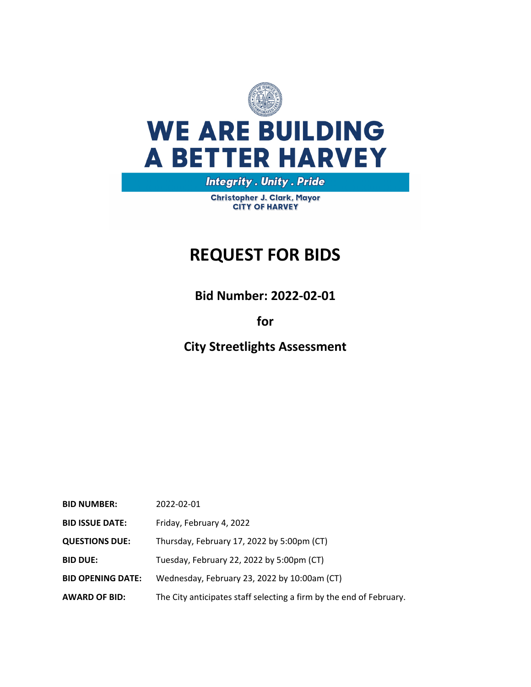

# **WE ARE BUILDING A BETTER HARVEY**

**Integrity . Unity . Pride** 

Christopher J. Clark, Mayor **CITY OF HARVEY** 

# **REQUEST FOR BIDS**

**Bid Number: 2022‐02‐01**

# **for**

**City Streetlights Assessment**

| <b>BID NUMBER:</b>       | 2022-02-01                                                          |
|--------------------------|---------------------------------------------------------------------|
| <b>BID ISSUE DATE:</b>   | Friday, February 4, 2022                                            |
| <b>QUESTIONS DUE:</b>    | Thursday, February 17, 2022 by 5:00pm (CT)                          |
| <b>BID DUE:</b>          | Tuesday, February 22, 2022 by 5:00pm (CT)                           |
| <b>BID OPENING DATE:</b> | Wednesday, February 23, 2022 by 10:00am (CT)                        |
| <b>AWARD OF BID:</b>     | The City anticipates staff selecting a firm by the end of February. |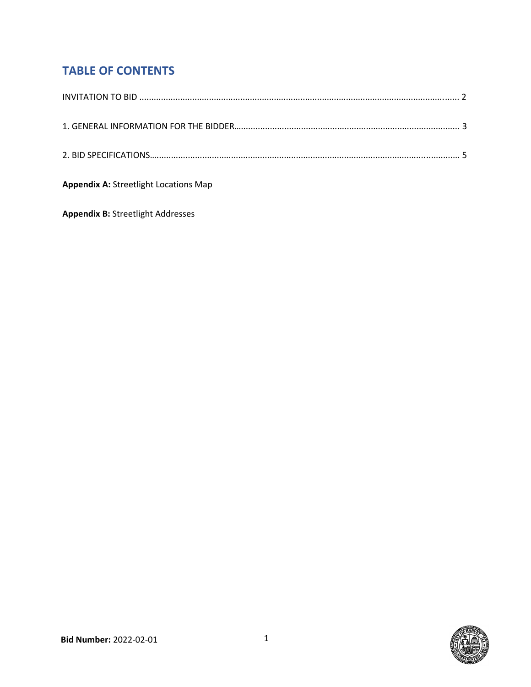# **TABLE OF CONTENTS**

| <b>Appendix A: Streetlight Locations Map</b> |
|----------------------------------------------|

**Appendix B:** Streetlight Addresses

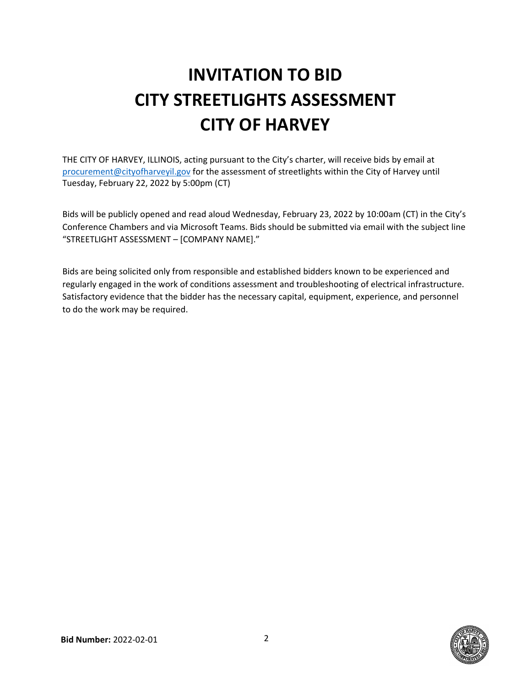# **INVITATION TO BID CITY STREETLIGHTS ASSESSMENT CITY OF HARVEY**

THE CITY OF HARVEY, ILLINOIS, acting pursuant to the City's charter, will receive bids by email at procurement@cityofharveyil.gov for the assessment of streetlights within the City of Harvey until Tuesday, February 22, 2022 by 5:00pm (CT)

Bids will be publicly opened and read aloud Wednesday, February 23, 2022 by 10:00am (CT) in the City's Conference Chambers and via Microsoft Teams. Bids should be submitted via email with the subject line "STREETLIGHT ASSESSMENT – [COMPANY NAME]."

Bids are being solicited only from responsible and established bidders known to be experienced and regularly engaged in the work of conditions assessment and troubleshooting of electrical infrastructure. Satisfactory evidence that the bidder has the necessary capital, equipment, experience, and personnel to do the work may be required.

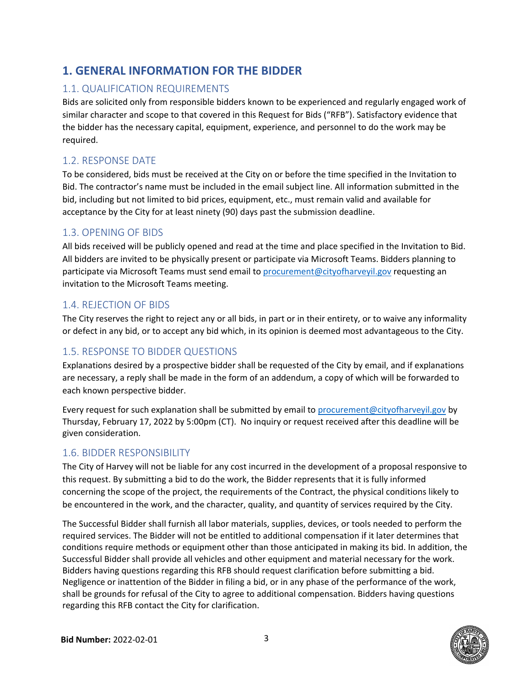# **1. GENERAL INFORMATION FOR THE BIDDER**

#### 1.1. QUALIFICATION REQUIREMENTS

Bids are solicited only from responsible bidders known to be experienced and regularly engaged work of similar character and scope to that covered in this Request for Bids ("RFB"). Satisfactory evidence that the bidder has the necessary capital, equipment, experience, and personnel to do the work may be required.

#### 1.2. RESPONSE DATE

To be considered, bids must be received at the City on or before the time specified in the Invitation to Bid. The contractor's name must be included in the email subject line. All information submitted in the bid, including but not limited to bid prices, equipment, etc., must remain valid and available for acceptance by the City for at least ninety (90) days past the submission deadline.

#### 1.3. OPENING OF BIDS

All bids received will be publicly opened and read at the time and place specified in the Invitation to Bid. All bidders are invited to be physically present or participate via Microsoft Teams. Bidders planning to participate via Microsoft Teams must send email to procurement@cityofharveyil.gov requesting an invitation to the Microsoft Teams meeting.

#### 1.4. REJECTION OF BIDS

The City reserves the right to reject any or all bids, in part or in their entirety, or to waive any informality or defect in any bid, or to accept any bid which, in its opinion is deemed most advantageous to the City.

#### 1.5. RESPONSE TO BIDDER QUESTIONS

Explanations desired by a prospective bidder shall be requested of the City by email, and if explanations are necessary, a reply shall be made in the form of an addendum, a copy of which will be forwarded to each known perspective bidder.

Every request for such explanation shall be submitted by email to procurement@cityofharveyil.gov by Thursday, February 17, 2022 by 5:00pm (CT). No inquiry or request received after this deadline will be given consideration.

#### 1.6. BIDDER RESPONSIBILITY

The City of Harvey will not be liable for any cost incurred in the development of a proposal responsive to this request. By submitting a bid to do the work, the Bidder represents that it is fully informed concerning the scope of the project, the requirements of the Contract, the physical conditions likely to be encountered in the work, and the character, quality, and quantity of services required by the City.

The Successful Bidder shall furnish all labor materials, supplies, devices, or tools needed to perform the required services. The Bidder will not be entitled to additional compensation if it later determines that conditions require methods or equipment other than those anticipated in making its bid. In addition, the Successful Bidder shall provide all vehicles and other equipment and material necessary for the work. Bidders having questions regarding this RFB should request clarification before submitting a bid. Negligence or inattention of the Bidder in filing a bid, or in any phase of the performance of the work, shall be grounds for refusal of the City to agree to additional compensation. Bidders having questions regarding this RFB contact the City for clarification.

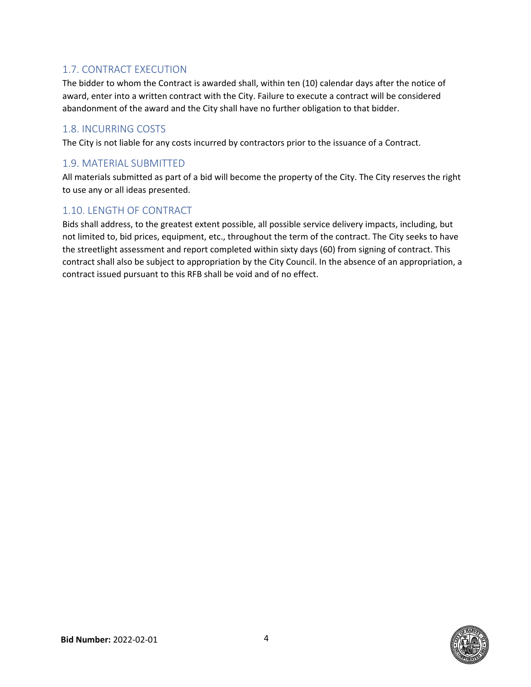#### 1.7. CONTRACT EXECUTION

The bidder to whom the Contract is awarded shall, within ten (10) calendar days after the notice of award, enter into a written contract with the City. Failure to execute a contract will be considered abandonment of the award and the City shall have no further obligation to that bidder.

#### 1.8. INCURRING COSTS

The City is not liable for any costs incurred by contractors prior to the issuance of a Contract.

#### 1.9. MATERIAL SUBMITTED

All materials submitted as part of a bid will become the property of the City. The City reserves the right to use any or all ideas presented.

#### 1.10. LENGTH OF CONTRACT

Bids shall address, to the greatest extent possible, all possible service delivery impacts, including, but not limited to, bid prices, equipment, etc., throughout the term of the contract. The City seeks to have the streetlight assessment and report completed within sixty days (60) from signing of contract. This contract shall also be subject to appropriation by the City Council. In the absence of an appropriation, a contract issued pursuant to this RFB shall be void and of no effect.

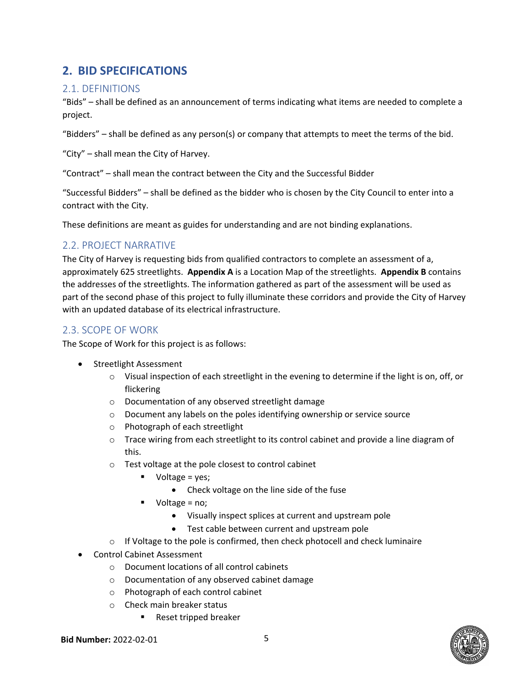## **2. BID SPECIFICATIONS**

#### 2.1. DEFINITIONS

"Bids" – shall be defined as an announcement of terms indicating what items are needed to complete a project.

"Bidders" – shall be defined as any person(s) or company that attempts to meet the terms of the bid.

"City" – shall mean the City of Harvey.

"Contract" – shall mean the contract between the City and the Successful Bidder

"Successful Bidders" – shall be defined as the bidder who is chosen by the City Council to enter into a contract with the City.

These definitions are meant as guides for understanding and are not binding explanations.

#### 2.2. PROJECT NARRATIVE

The City of Harvey is requesting bids from qualified contractors to complete an assessment of a, approximately 625 streetlights. **Appendix A** is a Location Map of the streetlights. **Appendix B** contains the addresses of the streetlights. The information gathered as part of the assessment will be used as part of the second phase of this project to fully illuminate these corridors and provide the City of Harvey with an updated database of its electrical infrastructure.

#### 2.3. SCOPE OF WORK

The Scope of Work for this project is as follows:

- Streetlight Assessment
	- $\circ$  Visual inspection of each streetlight in the evening to determine if the light is on, off, or flickering
	- o Documentation of any observed streetlight damage
	- o Document any labels on the poles identifying ownership or service source
	- o Photograph of each streetlight
	- $\circ$  Trace wiring from each streetlight to its control cabinet and provide a line diagram of this.
	- o Test voltage at the pole closest to control cabinet
		- $\blacksquare$  Voltage = yes;
			- Check voltage on the line side of the fuse
		- $\blacksquare$  Voltage = no;
			- Visually inspect splices at current and upstream pole
			- Test cable between current and upstream pole
	- o If Voltage to the pole is confirmed, then check photocell and check luminaire
- Control Cabinet Assessment
	- o Document locations of all control cabinets
	- o Documentation of any observed cabinet damage
	- o Photograph of each control cabinet
	- o Check main breaker status
		- Reset tripped breaker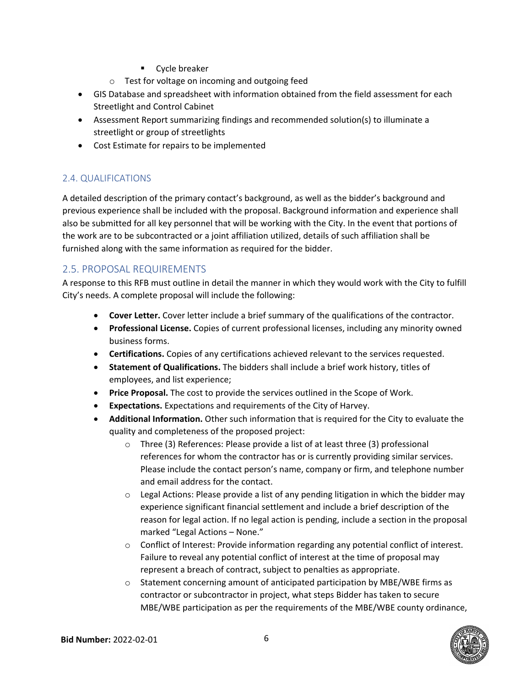- **EXPLO** Cycle breaker
- o Test for voltage on incoming and outgoing feed
- GIS Database and spreadsheet with information obtained from the field assessment for each Streetlight and Control Cabinet
- Assessment Report summarizing findings and recommended solution(s) to illuminate a streetlight or group of streetlights
- Cost Estimate for repairs to be implemented

#### 2.4. QUALIFICATIONS

A detailed description of the primary contact's background, as well as the bidder's background and previous experience shall be included with the proposal. Background information and experience shall also be submitted for all key personnel that will be working with the City. In the event that portions of the work are to be subcontracted or a joint affiliation utilized, details of such affiliation shall be furnished along with the same information as required for the bidder.

#### 2.5. PROPOSAL REQUIREMENTS

A response to this RFB must outline in detail the manner in which they would work with the City to fulfill City's needs. A complete proposal will include the following:

- **Cover Letter.** Cover letter include a brief summary of the qualifications of the contractor.
- **Professional License.** Copies of current professional licenses, including any minority owned business forms.
- **Certifications.** Copies of any certifications achieved relevant to the services requested.
- **Statement of Qualifications.** The bidders shall include a brief work history, titles of employees, and list experience;
- **Price Proposal.** The cost to provide the services outlined in the Scope of Work.
- **Expectations.** Expectations and requirements of the City of Harvey.
- **Additional Information.** Other such information that is required for the City to evaluate the quality and completeness of the proposed project:
	- o Three (3) References: Please provide a list of at least three (3) professional references for whom the contractor has or is currently providing similar services. Please include the contact person's name, company or firm, and telephone number and email address for the contact.
	- o Legal Actions: Please provide a list of any pending litigation in which the bidder may experience significant financial settlement and include a brief description of the reason for legal action. If no legal action is pending, include a section in the proposal marked "Legal Actions – None."
	- o Conflict of Interest: Provide information regarding any potential conflict of interest. Failure to reveal any potential conflict of interest at the time of proposal may represent a breach of contract, subject to penalties as appropriate.
	- o Statement concerning amount of anticipated participation by MBE/WBE firms as contractor or subcontractor in project, what steps Bidder has taken to secure MBE/WBE participation as per the requirements of the MBE/WBE county ordinance,

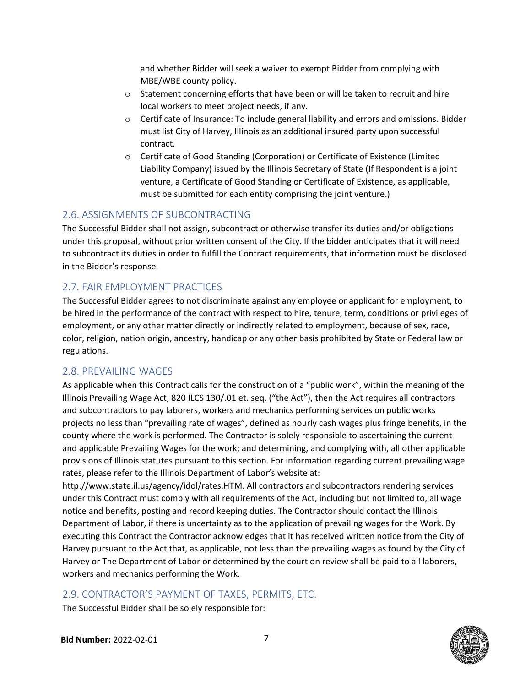and whether Bidder will seek a waiver to exempt Bidder from complying with MBE/WBE county policy.

- $\circ$  Statement concerning efforts that have been or will be taken to recruit and hire local workers to meet project needs, if any.
- o Certificate of Insurance: To include general liability and errors and omissions. Bidder must list City of Harvey, Illinois as an additional insured party upon successful contract.
- o Certificate of Good Standing (Corporation) or Certificate of Existence (Limited Liability Company) issued by the Illinois Secretary of State (If Respondent is a joint venture, a Certificate of Good Standing or Certificate of Existence, as applicable, must be submitted for each entity comprising the joint venture.)

#### 2.6. ASSIGNMENTS OF SUBCONTRACTING

The Successful Bidder shall not assign, subcontract or otherwise transfer its duties and/or obligations under this proposal, without prior written consent of the City. If the bidder anticipates that it will need to subcontract its duties in order to fulfill the Contract requirements, that information must be disclosed in the Bidder's response.

#### 2.7. FAIR EMPLOYMENT PRACTICES

The Successful Bidder agrees to not discriminate against any employee or applicant for employment, to be hired in the performance of the contract with respect to hire, tenure, term, conditions or privileges of employment, or any other matter directly or indirectly related to employment, because of sex, race, color, religion, nation origin, ancestry, handicap or any other basis prohibited by State or Federal law or regulations.

#### 2.8. PREVAILING WAGES

As applicable when this Contract calls for the construction of a "public work", within the meaning of the Illinois Prevailing Wage Act, 820 ILCS 130/.01 et. seq. ("the Act"), then the Act requires all contractors and subcontractors to pay laborers, workers and mechanics performing services on public works projects no less than "prevailing rate of wages", defined as hourly cash wages plus fringe benefits, in the county where the work is performed. The Contractor is solely responsible to ascertaining the current and applicable Prevailing Wages for the work; and determining, and complying with, all other applicable provisions of Illinois statutes pursuant to this section. For information regarding current prevailing wage rates, please refer to the Illinois Department of Labor's website at:

http://www.state.il.us/agency/idol/rates.HTM. All contractors and subcontractors rendering services under this Contract must comply with all requirements of the Act, including but not limited to, all wage notice and benefits, posting and record keeping duties. The Contractor should contact the Illinois Department of Labor, if there is uncertainty as to the application of prevailing wages for the Work. By executing this Contract the Contractor acknowledges that it has received written notice from the City of Harvey pursuant to the Act that, as applicable, not less than the prevailing wages as found by the City of Harvey or The Department of Labor or determined by the court on review shall be paid to all laborers, workers and mechanics performing the Work.

#### 2.9. CONTRACTOR'S PAYMENT OF TAXES, PERMITS, ETC.

The Successful Bidder shall be solely responsible for:

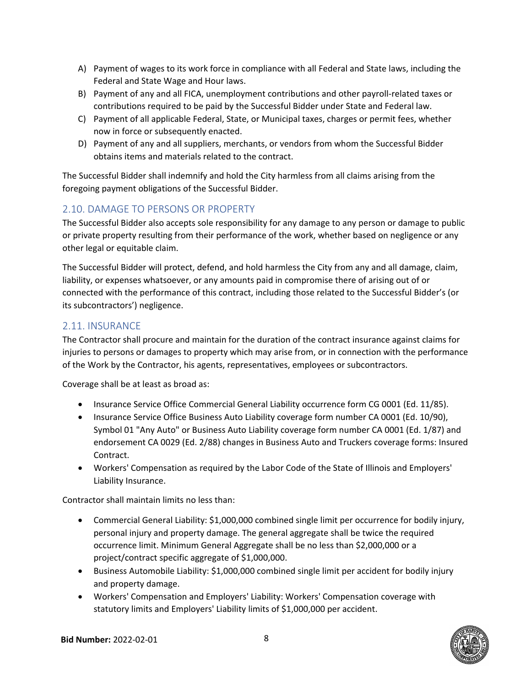- A) Payment of wages to its work force in compliance with all Federal and State laws, including the Federal and State Wage and Hour laws.
- B) Payment of any and all FICA, unemployment contributions and other payroll‐related taxes or contributions required to be paid by the Successful Bidder under State and Federal law.
- C) Payment of all applicable Federal, State, or Municipal taxes, charges or permit fees, whether now in force or subsequently enacted.
- D) Payment of any and all suppliers, merchants, or vendors from whom the Successful Bidder obtains items and materials related to the contract.

The Successful Bidder shall indemnify and hold the City harmless from all claims arising from the foregoing payment obligations of the Successful Bidder.

#### 2.10. DAMAGE TO PERSONS OR PROPERTY

The Successful Bidder also accepts sole responsibility for any damage to any person or damage to public or private property resulting from their performance of the work, whether based on negligence or any other legal or equitable claim.

The Successful Bidder will protect, defend, and hold harmless the City from any and all damage, claim, liability, or expenses whatsoever, or any amounts paid in compromise there of arising out of or connected with the performance of this contract, including those related to the Successful Bidder's (or its subcontractors') negligence.

#### 2.11. INSURANCE

The Contractor shall procure and maintain for the duration of the contract insurance against claims for injuries to persons or damages to property which may arise from, or in connection with the performance of the Work by the Contractor, his agents, representatives, employees or subcontractors.

Coverage shall be at least as broad as:

- Insurance Service Office Commercial General Liability occurrence form CG 0001 (Ed. 11/85).
- Insurance Service Office Business Auto Liability coverage form number CA 0001 (Ed. 10/90), Symbol 01 "Any Auto" or Business Auto Liability coverage form number CA 0001 (Ed. 1/87) and endorsement CA 0029 (Ed. 2/88) changes in Business Auto and Truckers coverage forms: Insured Contract.
- Workers' Compensation as required by the Labor Code of the State of Illinois and Employers' Liability Insurance.

Contractor shall maintain limits no less than:

- Commercial General Liability: \$1,000,000 combined single limit per occurrence for bodily injury, personal injury and property damage. The general aggregate shall be twice the required occurrence limit. Minimum General Aggregate shall be no less than \$2,000,000 or a project/contract specific aggregate of \$1,000,000.
- Business Automobile Liability: \$1,000,000 combined single limit per accident for bodily injury and property damage.
- Workers' Compensation and Employers' Liability: Workers' Compensation coverage with statutory limits and Employers' Liability limits of \$1,000,000 per accident.

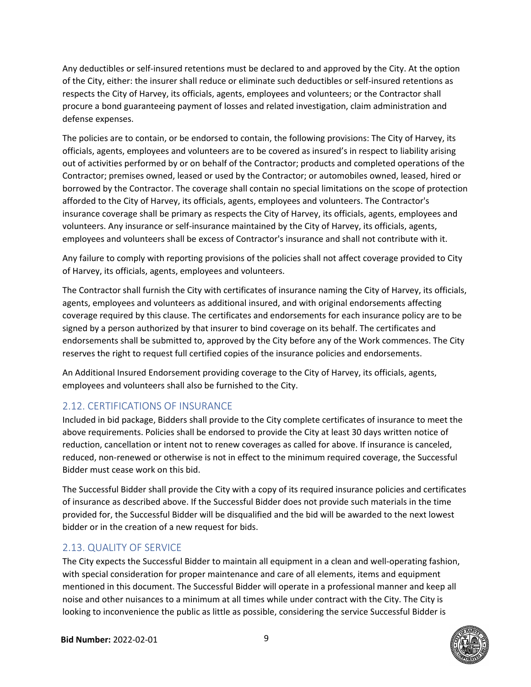Any deductibles or self‐insured retentions must be declared to and approved by the City. At the option of the City, either: the insurer shall reduce or eliminate such deductibles or self‐insured retentions as respects the City of Harvey, its officials, agents, employees and volunteers; or the Contractor shall procure a bond guaranteeing payment of losses and related investigation, claim administration and defense expenses.

The policies are to contain, or be endorsed to contain, the following provisions: The City of Harvey, its officials, agents, employees and volunteers are to be covered as insured's in respect to liability arising out of activities performed by or on behalf of the Contractor; products and completed operations of the Contractor; premises owned, leased or used by the Contractor; or automobiles owned, leased, hired or borrowed by the Contractor. The coverage shall contain no special limitations on the scope of protection afforded to the City of Harvey, its officials, agents, employees and volunteers. The Contractor's insurance coverage shall be primary as respects the City of Harvey, its officials, agents, employees and volunteers. Any insurance or self‐insurance maintained by the City of Harvey, its officials, agents, employees and volunteers shall be excess of Contractor's insurance and shall not contribute with it.

Any failure to comply with reporting provisions of the policies shall not affect coverage provided to City of Harvey, its officials, agents, employees and volunteers.

The Contractor shall furnish the City with certificates of insurance naming the City of Harvey, its officials, agents, employees and volunteers as additional insured, and with original endorsements affecting coverage required by this clause. The certificates and endorsements for each insurance policy are to be signed by a person authorized by that insurer to bind coverage on its behalf. The certificates and endorsements shall be submitted to, approved by the City before any of the Work commences. The City reserves the right to request full certified copies of the insurance policies and endorsements.

An Additional Insured Endorsement providing coverage to the City of Harvey, its officials, agents, employees and volunteers shall also be furnished to the City.

#### 2.12. CERTIFICATIONS OF INSURANCE

Included in bid package, Bidders shall provide to the City complete certificates of insurance to meet the above requirements. Policies shall be endorsed to provide the City at least 30 days written notice of reduction, cancellation or intent not to renew coverages as called for above. If insurance is canceled, reduced, non-renewed or otherwise is not in effect to the minimum required coverage, the Successful Bidder must cease work on this bid.

The Successful Bidder shall provide the City with a copy of its required insurance policies and certificates of insurance as described above. If the Successful Bidder does not provide such materials in the time provided for, the Successful Bidder will be disqualified and the bid will be awarded to the next lowest bidder or in the creation of a new request for bids.

#### 2.13. QUALITY OF SERVICE

The City expects the Successful Bidder to maintain all equipment in a clean and well‐operating fashion, with special consideration for proper maintenance and care of all elements, items and equipment mentioned in this document. The Successful Bidder will operate in a professional manner and keep all noise and other nuisances to a minimum at all times while under contract with the City. The City is looking to inconvenience the public as little as possible, considering the service Successful Bidder is

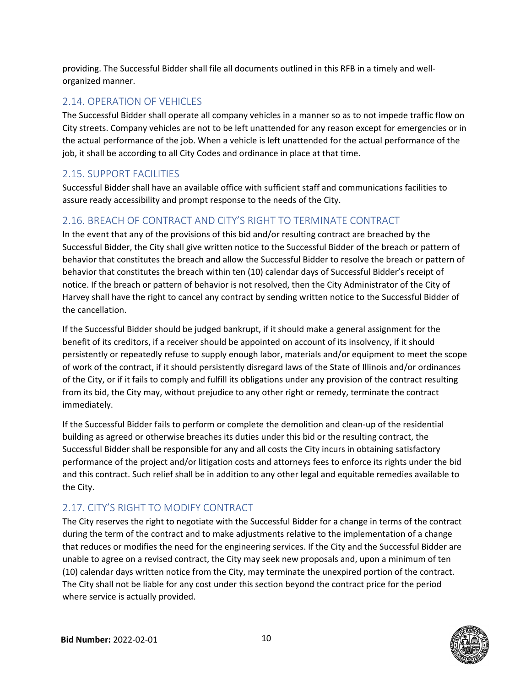providing. The Successful Bidder shall file all documents outlined in this RFB in a timely and well‐ organized manner.

#### 2.14. OPERATION OF VEHICLES

The Successful Bidder shall operate all company vehicles in a manner so as to not impede traffic flow on City streets. Company vehicles are not to be left unattended for any reason except for emergencies or in the actual performance of the job. When a vehicle is left unattended for the actual performance of the job, it shall be according to all City Codes and ordinance in place at that time.

#### 2.15. SUPPORT FACILITIES

Successful Bidder shall have an available office with sufficient staff and communications facilities to assure ready accessibility and prompt response to the needs of the City.

#### 2.16. BREACH OF CONTRACT AND CITY'S RIGHT TO TERMINATE CONTRACT

In the event that any of the provisions of this bid and/or resulting contract are breached by the Successful Bidder, the City shall give written notice to the Successful Bidder of the breach or pattern of behavior that constitutes the breach and allow the Successful Bidder to resolve the breach or pattern of behavior that constitutes the breach within ten (10) calendar days of Successful Bidder's receipt of notice. If the breach or pattern of behavior is not resolved, then the City Administrator of the City of Harvey shall have the right to cancel any contract by sending written notice to the Successful Bidder of the cancellation.

If the Successful Bidder should be judged bankrupt, if it should make a general assignment for the benefit of its creditors, if a receiver should be appointed on account of its insolvency, if it should persistently or repeatedly refuse to supply enough labor, materials and/or equipment to meet the scope of work of the contract, if it should persistently disregard laws of the State of Illinois and/or ordinances of the City, or if it fails to comply and fulfill its obligations under any provision of the contract resulting from its bid, the City may, without prejudice to any other right or remedy, terminate the contract immediately.

If the Successful Bidder fails to perform or complete the demolition and clean‐up of the residential building as agreed or otherwise breaches its duties under this bid or the resulting contract, the Successful Bidder shall be responsible for any and all costs the City incurs in obtaining satisfactory performance of the project and/or litigation costs and attorneys fees to enforce its rights under the bid and this contract. Such relief shall be in addition to any other legal and equitable remedies available to the City.

## 2.17. CITY'S RIGHT TO MODIFY CONTRACT

The City reserves the right to negotiate with the Successful Bidder for a change in terms of the contract during the term of the contract and to make adjustments relative to the implementation of a change that reduces or modifies the need for the engineering services. If the City and the Successful Bidder are unable to agree on a revised contract, the City may seek new proposals and, upon a minimum of ten (10) calendar days written notice from the City, may terminate the unexpired portion of the contract. The City shall not be liable for any cost under this section beyond the contract price for the period where service is actually provided.